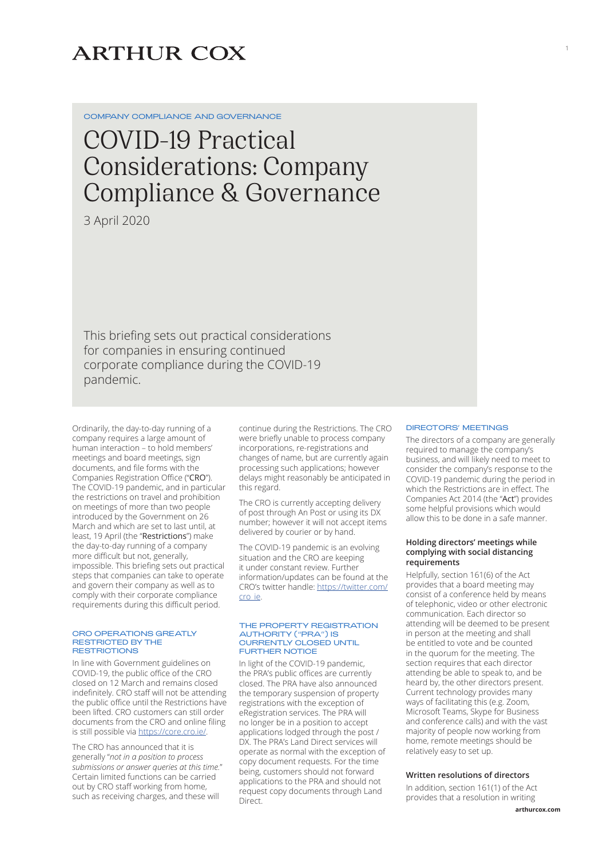# **ARTHUR COX**

COMPANY COMPLIANCE AND GOVERNANCE

# COVID-19 Practical Considerations: Company Compliance & Governance

3 April 2020

This briefing sets out practical considerations for companies in ensuring continued corporate compliance during the COVID-19 pandemic.

Ordinarily, the day-to-day running of a company requires a large amount of human interaction – to hold members' meetings and board meetings, sign documents, and file forms with the Companies Registration Office ("CRO"). The COVID-19 pandemic, and in particular the restrictions on travel and prohibition on meetings of more than two people introduced by the Government on 26 March and which are set to last until, at least, 19 April (the "Restrictions") make the day-to-day running of a company more difficult but not, generally, impossible. This briefing sets out practical steps that companies can take to operate and govern their company as well as to comply with their corporate compliance requirements during this difficult period.

#### CRO OPERATIONS GREATLY RESTRICTED BY THE **RESTRICTIONS**

In line with Government guidelines on COVID-19, the public office of the CRO closed on 12 March and remains closed indefinitely. CRO staff will not be attending the public office until the Restrictions have been lifted. CRO customers can still order documents from the CRO and online filing is still possible via <https://core.cro.ie/>.

The CRO has announced that it is generally "*not in a position to process submissions or answer queries at this time.*" Certain limited functions can be carried out by CRO staff working from home, such as receiving charges, and these will

continue during the Restrictions. The CRO were briefly unable to process company incorporations, re-registrations and changes of name, but are currently again processing such applications; however delays might reasonably be anticipated in this regard.

The CRO is currently accepting delivery of post through An Post or using its DX number; however it will not accept items delivered by courier or by hand.

The COVID-19 pandemic is an evolving situation and the CRO are keeping it under constant review. Further information/updates can be found at the CRO's twitter handle: [https://twitter.com/](https://twitter.com/cro_ie) [cro\\_ie.](https://twitter.com/cro_ie)

#### THE PROPERTY REGISTRATION AUTHORITY ("PRA") IS CURRENTLY CLOSED UNTIL FURTHER NOTICE

In light of the COVID-19 pandemic, the PRA's public offices are currently closed. The PRA have also announced the temporary suspension of property registrations with the exception of eRegistration services. The PRA will no longer be in a position to accept applications lodged through the post / DX. The PRA's Land Direct services will operate as normal with the exception of copy document requests. For the time being, customers should not forward applications to the PRA and should not request copy documents through Land Direct.

#### DIRECTORS' MEETINGS

The directors of a company are generally required to manage the company's business, and will likely need to meet to consider the company's response to the COVID-19 pandemic during the period in which the Restrictions are in effect. The Companies Act 2014 (the "Act") provides some helpful provisions which would allow this to be done in a safe manner.

1

# **Holding directors' meetings while complying with social distancing requirements**

Helpfully, section 161(6) of the Act provides that a board meeting may consist of a conference held by means of telephonic, video or other electronic communication. Each director so attending will be deemed to be present in person at the meeting and shall be entitled to vote and be counted in the quorum for the meeting. The section requires that each director attending be able to speak to, and be heard by, the other directors present. Current technology provides many ways of facilitating this (e.g. Zoom, Microsoft Teams, Skype for Business and conference calls) and with the vast majority of people now working from home, remote meetings should be relatively easy to set up.

# **Written resolutions of directors**

In addition, section 161(1) of the Act provides that a resolution in writing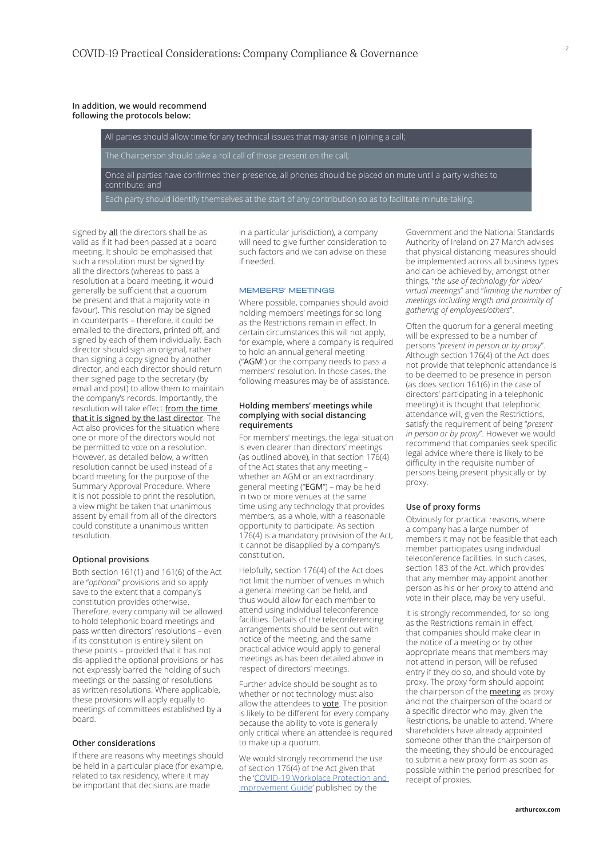# **In addition, we would recommend following the protocols below:**

All parties should allow time for any technical issues that may arise in joining a call; The Chairperson should take a roll call of those present on the call; Once all parties have confirmed their presence, all phones should be placed on mute until a party wishes to contribute; and

signed by all the directors shall be as valid as if it had been passed at a board meeting. It should be emphasised that such a resolution must be signed by all the directors (whereas to pass a resolution at a board meeting, it would generally be sufficient that a quorum be present and that a majority vote in favour). This resolution may be signed in counterparts – therefore, it could be emailed to the directors, printed off, and signed by each of them individually. Each director should sign an original, rather than signing a copy signed by another director, and each director should return their signed page to the secretary (by email and post) to allow them to maintain the company's records. Importantly, the resolution will take effect from the time that it is signed by the last director. The Act also provides for the situation where one or more of the directors would not be permitted to vote on a resolution. However, as detailed below, a written resolution cannot be used instead of a board meeting for the purpose of the Summary Approval Procedure. Where it is not possible to print the resolution, a view might be taken that unanimous assent by email from all of the directors could constitute a unanimous written resolution.

# **Optional provisions**

Both section 161(1) and 161(6) of the Act are "*optional*" provisions and so apply save to the extent that a company's constitution provides otherwise. Therefore, every company will be allowed to hold telephonic board meetings and pass written directors' resolutions – even if its constitution is entirely silent on these points – provided that it has not dis-applied the optional provisions or has not expressly barred the holding of such meetings or the passing of resolutions as written resolutions. Where applicable, these provisions will apply equally to meetings of committees established by a board.

# **Other considerations**

If there are reasons why meetings should be held in a particular place (for example, related to tax residency, where it may be important that decisions are made

in a particular jurisdiction), a company will need to give further consideration to such factors and we can advise on these if needed.

#### MEMBERS' MEETINGS

Where possible, companies should avoid holding members' meetings for so long as the Restrictions remain in effect. In certain circumstances this will not apply, for example, where a company is required to hold an annual general meeting ("AGM") or the company needs to pass a members' resolution. In those cases, the following measures may be of assistance.

## **Holding members' meetings while complying with social distancing requirements**

For members' meetings, the legal situation is even clearer than directors' meetings (as outlined above), in that section 176(4) of the Act states that any meeting – whether an AGM or an extraordinary general meeting ("EGM") – may be held in two or more venues at the same time using any technology that provides members, as a whole, with a reasonable opportunity to participate. As section 176(4) is a mandatory provision of the Act, it cannot be disapplied by a company's constitution.

Helpfully, section 176(4) of the Act does not limit the number of venues in which a general meeting can be held, and thus would allow for each member to attend using individual teleconference facilities. Details of the teleconferencing arrangements should be sent out with notice of the meeting, and the same practical advice would apply to general meetings as has been detailed above in respect of directors' meetings.

Further advice should be sought as to whether or not technology must also allow the attendees to **vote**. The position is likely to be different for every company because the ability to vote is generally only critical where an attendee is required to make up a quorum.

We would strongly recommend the use of section 176(4) of the Act given that the '[COVID-19 Workplace Protection and](https://www.nsai.ie/images/uploads/general/Covid-19_Workplace_Protection_and_Improvement_Guide.pdf)  [Improvement Guide'](https://www.nsai.ie/images/uploads/general/Covid-19_Workplace_Protection_and_Improvement_Guide.pdf) published by the

Government and the National Standards Authority of Ireland on 27 March advises that physical distancing measures should be implemented across all business types and can be achieved by, amongst other things, "*the use of technology for video/ virtual meetings*" and "*limiting the number of meetings including length and proximity of gathering of employees/others*".

Often the quorum for a general meeting will be expressed to be a number of persons "*present in person or by proxy*". Although section 176(4) of the Act does not provide that telephonic attendance is to be deemed to be presence in person (as does section 161(6) in the case of directors' participating in a telephonic meeting) it is thought that telephonic attendance will, given the Restrictions, satisfy the requirement of being "*present in person or by proxy*". However we would recommend that companies seek specific legal advice where there is likely to be difficulty in the requisite number of persons being present physically or by proxy.

# **Use of proxy forms**

Obviously for practical reasons, where a company has a large number of members it may not be feasible that each member participates using individual teleconference facilities. In such cases, section 183 of the Act, which provides that any member may appoint another person as his or her proxy to attend and vote in their place, may be very useful.

It is strongly recommended, for so long as the Restrictions remain in effect, that companies should make clear in the notice of a meeting or by other appropriate means that members may not attend in person, will be refused entry if they do so, and should vote by proxy. The proxy form should appoint the chairperson of the **meeting** as proxy and not the chairperson of the board or a specific director who may, given the Restrictions, be unable to attend. Where shareholders have already appointed someone other than the chairperson of the meeting, they should be encouraged to submit a new proxy form as soon as possible within the period prescribed for receipt of proxies.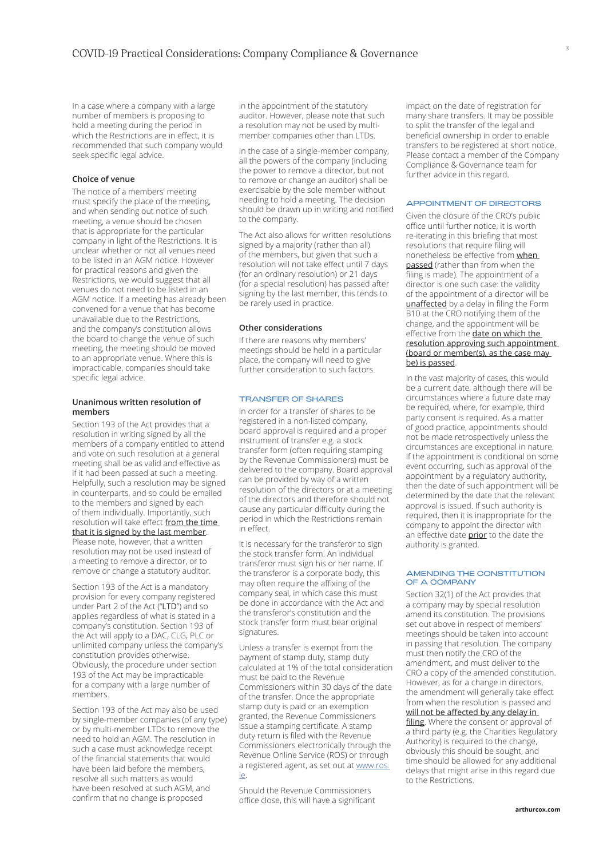In a case where a company with a large number of members is proposing to hold a meeting during the period in which the Restrictions are in effect, it is recommended that such company would seek specific legal advice.

# **Choice of venue**

The notice of a members' meeting must specify the place of the meeting, and when sending out notice of such meeting, a venue should be chosen that is appropriate for the particular company in light of the Restrictions. It is unclear whether or not all venues need to be listed in an AGM notice. However for practical reasons and given the Restrictions, we would suggest that all venues do not need to be listed in an AGM notice. If a meeting has already been convened for a venue that has become unavailable due to the Restrictions, and the company's constitution allows the board to change the venue of such meeting, the meeting should be moved to an appropriate venue. Where this is impracticable, companies should take specific legal advice.

# **Unanimous written resolution of members**

Section 193 of the Act provides that a resolution in writing signed by all the members of a company entitled to attend and vote on such resolution at a general meeting shall be as valid and effective as if it had been passed at such a meeting. Helpfully, such a resolution may be signed in counterparts, and so could be emailed to the members and signed by each of them individually. Importantly, such resolution will take effect from the time that it is signed by the last member. Please note, however, that a written resolution may not be used instead of a meeting to remove a director, or to remove or change a statutory auditor.

Section 193 of the Act is a mandatory provision for every company registered under Part 2 of the Act ("LTD") and so applies regardless of what is stated in a company's constitution. Section 193 of the Act will apply to a DAC, CLG, PLC or unlimited company unless the company's constitution provides otherwise. Obviously, the procedure under section 193 of the Act may be impracticable for a company with a large number of members.

Section 193 of the Act may also be used by single-member companies (of any type) or by multi-member LTDs to remove the need to hold an AGM. The resolution in such a case must acknowledge receipt of the financial statements that would have been laid before the members, resolve all such matters as would have been resolved at such AGM, and confirm that no change is proposed

in the appointment of the statutory auditor. However, please note that such a resolution may not be used by multimember companies other than LTDs.

In the case of a single-member company, all the powers of the company (including the power to remove a director, but not to remove or change an auditor) shall be exercisable by the sole member without needing to hold a meeting. The decision should be drawn up in writing and notified to the company.

The Act also allows for written resolutions signed by a majority (rather than all) of the members, but given that such a resolution will not take effect until 7 days (for an ordinary resolution) or 21 days (for a special resolution) has passed after signing by the last member, this tends to be rarely used in practice.

#### **Other considerations**

If there are reasons why members' meetings should be held in a particular place, the company will need to give further consideration to such factors.

# TRANSFER OF SHARES

In order for a transfer of shares to be registered in a non-listed company, board approval is required and a proper instrument of transfer e.g. a stock transfer form (often requiring stamping by the Revenue Commissioners) must be delivered to the company. Board approval can be provided by way of a written resolution of the directors or at a meeting of the directors and therefore should not cause any particular difficulty during the period in which the Restrictions remain in effect.

It is necessary for the transferor to sign the stock transfer form. An individual transferor must sign his or her name. If the transferor is a corporate body, this may often require the affixing of the company seal, in which case this must be done in accordance with the Act and the transferor's constitution and the stock transfer form must bear original signatures.

Unless a transfer is exempt from the payment of stamp duty, stamp duty calculated at 1% of the total consideration must be paid to the Revenue Commissioners within 30 days of the date of the transfer. Once the appropriate stamp duty is paid or an exemption granted, the Revenue Commissioners issue a stamping certificate. A stamp duty return is filed with the Revenue Commissioners electronically through the Revenue Online Service (ROS) or through a registered agent, as set out at [www.ros.](http://www.ros.ie) [ie.](http://www.ros.ie)

Should the Revenue Commissioners office close, this will have a significant impact on the date of registration for many share transfers. It may be possible to split the transfer of the legal and beneficial ownership in order to enable transfers to be registered at short notice. Please contact a member of the Company Compliance & Governance team for further advice in this regard.

#### APPOINTMENT OF DIRECTORS

Given the closure of the CRO's public office until further notice, it is worth re-iterating in this briefing that most resolutions that require filing will nonetheless be effective from when passed (rather than from when the filing is made). The appointment of a director is one such case: the validity of the appointment of a director will be unaffected by a delay in filing the Form B10 at the CRO notifying them of the change, and the appointment will be effective from the date on which the resolution approving such appointment (board or member(s), as the case may be) is passed.

In the vast majority of cases, this would be a current date, although there will be circumstances where a future date may be required, where, for example, third party consent is required. As a matter of good practice, appointments should not be made retrospectively unless the circumstances are exceptional in nature. If the appointment is conditional on some event occurring, such as approval of the appointment by a regulatory authority, then the date of such appointment will be determined by the date that the relevant approval is issued. If such authority is required, then it is inappropriate for the company to appoint the director with an effective date prior to the date the authority is granted.

# AMENDING THE CONSTITUTION OF A COMPANY

Section 32(1) of the Act provides that a company may by special resolution amend its constitution. The provisions set out above in respect of members' meetings should be taken into account in passing that resolution. The company must then notify the CRO of the amendment, and must deliver to the CRO a copy of the amended constitution. However, as for a change in directors, the amendment will generally take effect from when the resolution is passed and will not be affected by any delay in

filing. Where the consent or approval of a third party (e.g. the Charities Regulatory Authority) is required to the change, obviously this should be sought, and time should be allowed for any additional delays that might arise in this regard due to the Restrictions.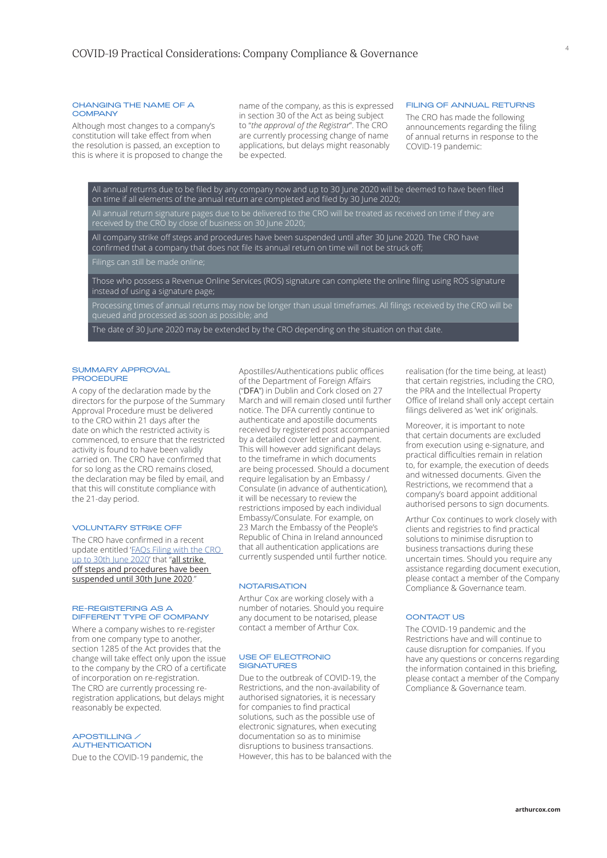#### 4

# CHANGING THE NAME OF A **COMPANY**

Although most changes to a company's constitution will take effect from when the resolution is passed, an exception to this is where it is proposed to change the name of the company, as this is expressed in section 30 of the Act as being subject to "*the approval of the Registrar*". The CRO are currently processing change of name applications, but delays might reasonably be expected.

#### FILING OF ANNUAL RETURNS

The CRO has made the following announcements regarding the filing of annual returns in response to the COVID-19 pandemic:

All annual returns due to be filed by any company now and up to 30 June 2020 will be deemed to have been filed on time if all elements of the annual return are completed and filed by 30 June 2020; All annual return signature pages due to be delivered to the CRO will be treated as received on time if they are received by the CRO by close of business on 30 June 2020; All company strike off steps and procedures have been suspended until after 30 June 2020. The CRO have confirmed that a company that does not file its annual return on time will not be struck off; Filings can still be made online; Those who possess a Revenue Online Services (ROS) signature can complete the online filing using ROS signature instead of using a signature page; Processing times of annual returns may now be longer than usual timeframes. All filings received by the CRO will be The date of 30 June 2020 may be extended by the CRO depending on the situation on that date.

#### SUMMARY APPROVAL **PROCEDURE**

A copy of the declaration made by the directors for the purpose of the Summary Approval Procedure must be delivered to the CRO within 21 days after the date on which the restricted activity is commenced, to ensure that the restricted activity is found to have been validly carried on. The CRO have confirmed that for so long as the CRO remains closed, the declaration may be filed by email, and that this will constitute compliance with the 21-day period.

# VOLUNTARY STRIKE OFF

The CRO have confirmed in a recent update entitled '[FAQs Filing with the CRO](https://www.cro.ie/About-CRO/Latest-News/ArtMID/1567/ArticleID/1407/Update-Regarding-Filing-of-Annual-Returns)  [up to 30th June 2020](https://www.cro.ie/About-CRO/Latest-News/ArtMID/1567/ArticleID/1407/Update-Regarding-Filing-of-Annual-Returns)' that "all strike off steps and procedures have been suspended until 30th June 2020.

# RE-REGISTERING AS A DIFFERENT TYPE OF COMPANY

Where a company wishes to re-register from one company type to another, section 1285 of the Act provides that the change will take effect only upon the issue to the company by the CRO of a certificate of incorporation on re-registration. The CRO are currently processing reregistration applications, but delays might reasonably be expected.

APOSTILLING / **AUTHENTICATION** Due to the COVID-19 pandemic, the Apostilles/Authentications public offices of the Department of Foreign Affairs ("DFA") in Dublin and Cork closed on 27 March and will remain closed until further notice. The DFA currently continue to authenticate and apostille documents received by registered post accompanied by a detailed cover letter and payment. This will however add significant delays to the timeframe in which documents are being processed. Should a document require legalisation by an Embassy / Consulate (in advance of authentication), it will be necessary to review the restrictions imposed by each individual Embassy/Consulate. For example, on 23 March the Embassy of the People's Republic of China in Ireland announced that all authentication applications are currently suspended until further notice.

# **NOTARISATION**

Arthur Cox are working closely with a number of notaries. Should you require any document to be notarised, please contact a member of Arthur Cox.

#### USE OF ELECTRONIC SIGNATURES

Due to the outbreak of COVID-19, the Restrictions, and the non-availability of authorised signatories, it is necessary for companies to find practical solutions, such as the possible use of electronic signatures, when executing documentation so as to minimise disruptions to business transactions. However, this has to be balanced with the realisation (for the time being, at least) that certain registries, including the CRO, the PRA and the Intellectual Property Office of Ireland shall only accept certain filings delivered as 'wet ink' originals.

Moreover, it is important to note that certain documents are excluded from execution using e-signature, and practical difficulties remain in relation to, for example, the execution of deeds and witnessed documents. Given the Restrictions, we recommend that a company's board appoint additional authorised persons to sign documents.

Arthur Cox continues to work closely with clients and registries to find practical solutions to minimise disruption to business transactions during these uncertain times. Should you require any assistance regarding document execution, please contact a member of the Company Compliance & Governance team.

# **CONTACT US**

The COVID-19 pandemic and the Restrictions have and will continue to cause disruption for companies. If you have any questions or concerns regarding the information contained in this briefing, please contact a member of the Company Compliance & Governance team.